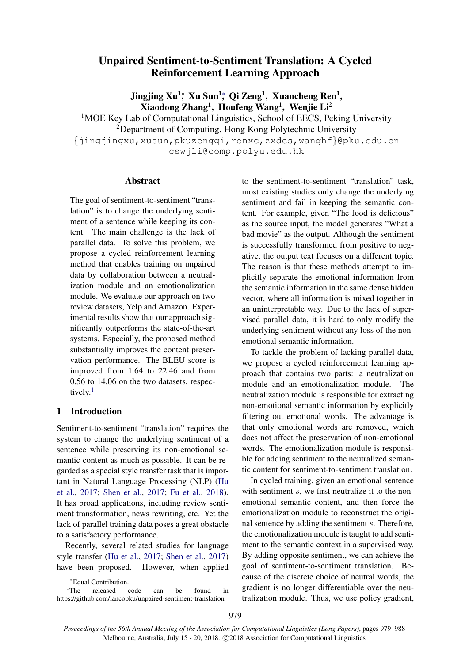# Unpaired Sentiment-to-Sentiment Translation: A Cycled Reinforcement Learning Approach

Jingjing Xu<sup>1</sup>; Xu Sun<sup>1</sup>; Qi Zeng<sup>1</sup>, Xuancheng Ren<sup>1</sup>, Xiaodong Zhang<sup>1</sup>, Houfeng Wang<sup>1</sup>, Wenjie Li<sup>2</sup>

<sup>1</sup>MOE Key Lab of Computational Linguistics, School of EECS, Peking University <sup>2</sup>Department of Computing, Hong Kong Polytechnic University {jingjingxu,xusun,pkuzengqi,renxc,zxdcs,wanghf}@pku.edu.cn cswjli@comp.polyu.edu.hk

## Abstract

The goal of sentiment-to-sentiment "translation" is to change the underlying sentiment of a sentence while keeping its content. The main challenge is the lack of parallel data. To solve this problem, we propose a cycled reinforcement learning method that enables training on unpaired data by collaboration between a neutralization module and an emotionalization module. We evaluate our approach on two review datasets, Yelp and Amazon. Experimental results show that our approach significantly outperforms the state-of-the-art systems. Especially, the proposed method substantially improves the content preservation performance. The BLEU score is improved from 1.64 to 22.46 and from 0.56 to 14.06 on the two datasets, respec-tively.<sup>[1](#page-0-0)</sup>

## 1 Introduction

Sentiment-to-sentiment "translation" requires the system to change the underlying sentiment of a sentence while preserving its non-emotional semantic content as much as possible. It can be regarded as a special style transfer task that is important in Natural Language Processing (NLP) [\(Hu](#page-8-0) [et al.,](#page-8-0) [2017;](#page-8-0) [Shen et al.,](#page-8-1) [2017;](#page-8-1) [Fu et al.,](#page-8-2) [2018\)](#page-8-2). It has broad applications, including review sentiment transformation, news rewriting, etc. Yet the lack of parallel training data poses a great obstacle to a satisfactory performance.

Recently, several related studies for language style transfer [\(Hu et al.,](#page-8-0) [2017;](#page-8-0) [Shen et al.,](#page-8-1) [2017\)](#page-8-1) have been proposed. However, when applied

released code can be found in https://github.com/lancopku/unpaired-sentiment-translation

to the sentiment-to-sentiment "translation" task, most existing studies only change the underlying sentiment and fail in keeping the semantic content. For example, given "The food is delicious" as the source input, the model generates "What a bad movie" as the output. Although the sentiment is successfully transformed from positive to negative, the output text focuses on a different topic. The reason is that these methods attempt to implicitly separate the emotional information from the semantic information in the same dense hidden vector, where all information is mixed together in an uninterpretable way. Due to the lack of supervised parallel data, it is hard to only modify the underlying sentiment without any loss of the nonemotional semantic information.

To tackle the problem of lacking parallel data, we propose a cycled reinforcement learning approach that contains two parts: a neutralization module and an emotionalization module. The neutralization module is responsible for extracting non-emotional semantic information by explicitly filtering out emotional words. The advantage is that only emotional words are removed, which does not affect the preservation of non-emotional words. The emotionalization module is responsible for adding sentiment to the neutralized semantic content for sentiment-to-sentiment translation.

In cycled training, given an emotional sentence with sentiment s, we first neutralize it to the nonemotional semantic content, and then force the emotionalization module to reconstruct the original sentence by adding the sentiment s. Therefore, the emotionalization module is taught to add sentiment to the semantic context in a supervised way. By adding opposite sentiment, we can achieve the goal of sentiment-to-sentiment translation. Because of the discrete choice of neutral words, the gradient is no longer differentiable over the neutralization module. Thus, we use policy gradient,

<span id="page-0-0"></span><sup>∗</sup>Equal Contribution.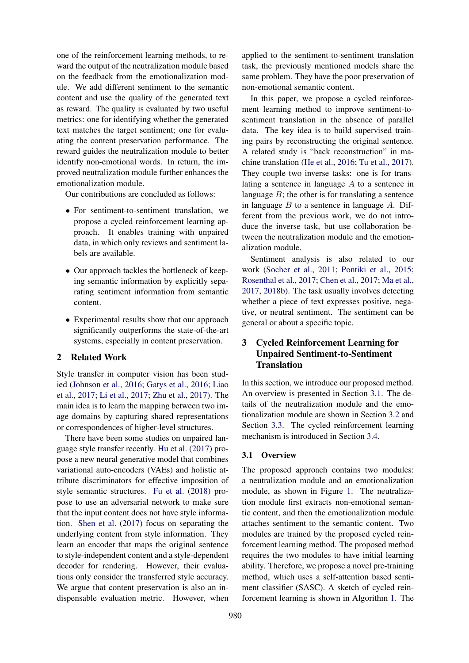one of the reinforcement learning methods, to reward the output of the neutralization module based on the feedback from the emotionalization module. We add different sentiment to the semantic content and use the quality of the generated text as reward. The quality is evaluated by two useful metrics: one for identifying whether the generated text matches the target sentiment; one for evaluating the content preservation performance. The reward guides the neutralization module to better identify non-emotional words. In return, the improved neutralization module further enhances the emotionalization module.

Our contributions are concluded as follows:

- For sentiment-to-sentiment translation, we propose a cycled reinforcement learning approach. It enables training with unpaired data, in which only reviews and sentiment labels are available.
- Our approach tackles the bottleneck of keeping semantic information by explicitly separating sentiment information from semantic content.
- Experimental results show that our approach significantly outperforms the state-of-the-art systems, especially in content preservation.

## 2 Related Work

Style transfer in computer vision has been studied [\(Johnson et al.,](#page-8-3) [2016;](#page-8-3) [Gatys et al.,](#page-8-4) [2016;](#page-8-4) [Liao](#page-8-5) [et al.,](#page-8-5) [2017;](#page-8-5) [Li et al.,](#page-8-6) [2017;](#page-8-6) [Zhu et al.,](#page-9-0) [2017\)](#page-9-0). The main idea is to learn the mapping between two image domains by capturing shared representations or correspondences of higher-level structures.

There have been some studies on unpaired language style transfer recently. [Hu et al.](#page-8-0) [\(2017\)](#page-8-0) propose a new neural generative model that combines variational auto-encoders (VAEs) and holistic attribute discriminators for effective imposition of style semantic structures. [Fu et al.](#page-8-2) [\(2018\)](#page-8-2) propose to use an adversarial network to make sure that the input content does not have style information. [Shen et al.](#page-8-1) [\(2017\)](#page-8-1) focus on separating the underlying content from style information. They learn an encoder that maps the original sentence to style-independent content and a style-dependent decoder for rendering. However, their evaluations only consider the transferred style accuracy. We argue that content preservation is also an indispensable evaluation metric. However, when

applied to the sentiment-to-sentiment translation task, the previously mentioned models share the same problem. They have the poor preservation of non-emotional semantic content.

In this paper, we propose a cycled reinforcement learning method to improve sentiment-tosentiment translation in the absence of parallel data. The key idea is to build supervised training pairs by reconstructing the original sentence. A related study is "back reconstruction" in machine translation [\(He et al.,](#page-8-7) [2016;](#page-8-7) [Tu et al.,](#page-9-1) [2017\)](#page-9-1). They couple two inverse tasks: one is for translating a sentence in language A to a sentence in language  $B$ ; the other is for translating a sentence in language  $B$  to a sentence in language  $A$ . Different from the previous work, we do not introduce the inverse task, but use collaboration between the neutralization module and the emotionalization module.

Sentiment analysis is also related to our work [\(Socher et al.,](#page-9-2) [2011;](#page-9-2) [Pontiki et al.,](#page-8-8) [2015;](#page-8-8) [Rosenthal et al.,](#page-8-9) [2017;](#page-8-9) [Chen et al.,](#page-8-10) [2017;](#page-8-10) [Ma et al.,](#page-8-11) [2017,](#page-8-11) [2018b\)](#page-8-12). The task usually involves detecting whether a piece of text expresses positive, negative, or neutral sentiment. The sentiment can be general or about a specific topic.

## 3 Cycled Reinforcement Learning for Unpaired Sentiment-to-Sentiment **Translation**

In this section, we introduce our proposed method. An overview is presented in Section [3.1.](#page-1-0) The details of the neutralization module and the emotionalization module are shown in Section [3.2](#page-2-0) and Section [3.3.](#page-3-0) The cycled reinforcement learning mechanism is introduced in Section [3.4.](#page-3-1)

## <span id="page-1-0"></span>3.1 Overview

The proposed approach contains two modules: a neutralization module and an emotionalization module, as shown in Figure [1.](#page-2-1) The neutralization module first extracts non-emotional semantic content, and then the emotionalization module attaches sentiment to the semantic content. Two modules are trained by the proposed cycled reinforcement learning method. The proposed method requires the two modules to have initial learning ability. Therefore, we propose a novel pre-training method, which uses a self-attention based sentiment classifier (SASC). A sketch of cycled reinforcement learning is shown in Algorithm [1.](#page-2-2) The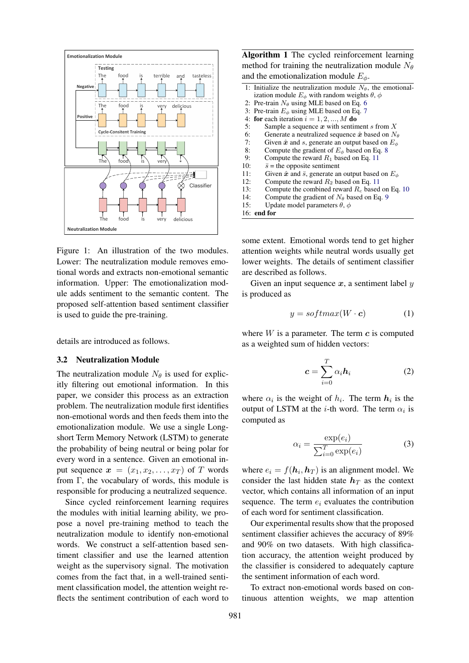

Figure 1: An illustration of the two modules. Lower: The neutralization module removes emotional words and extracts non-emotional semantic information. Upper: The emotionalization module adds sentiment to the semantic content. The proposed self-attention based sentiment classifier is used to guide the pre-training.

details are introduced as follows.

#### <span id="page-2-0"></span>3.2 Neutralization Module

The neutralization module  $N_{\theta}$  is used for explicitly filtering out emotional information. In this paper, we consider this process as an extraction problem. The neutralization module first identifies non-emotional words and then feeds them into the emotionalization module. We use a single Longshort Term Memory Network (LSTM) to generate the probability of being neutral or being polar for every word in a sentence. Given an emotional input sequence  $x = (x_1, x_2, \ldots, x_T)$  of T words from  $\Gamma$ , the vocabulary of words, this module is responsible for producing a neutralized sequence.

Since cycled reinforcement learning requires the modules with initial learning ability, we propose a novel pre-training method to teach the neutralization module to identify non-emotional words. We construct a self-attention based sentiment classifier and use the learned attention weight as the supervisory signal. The motivation comes from the fact that, in a well-trained sentiment classification model, the attention weight reflects the sentiment contribution of each word to

Algorithm 1 The cycled reinforcement learning method for training the neutralization module  $N_{\theta}$ and the emotionalization module  $E_{\phi}$ . 1: Initialize the neutralization module  $N_{\theta}$ , the emotional-

- <span id="page-2-2"></span>ization module  $E_{\phi}$  with random weights  $\theta$ ,  $\phi$ 2: Pre-train  $N_\theta$  using MLE based on Eq. [6](#page-3-2)
- 3: Pre-train  $E_{\phi}$  using MLE based on Eq. [7](#page-3-3)
- 4: for each iteration  $i = 1, 2, ..., M$  do
- 5: Sample a sequence  $x$  with sentiment s from  $X$
- 6: Generate a neutralized sequence  $\hat{x}$  based on  $N_{\theta}$
- 
- 7: Given  $\hat{x}$  and s, generate an output based on E<sub> $\phi$ </sub> 8: Compute the gradient of E<sub> $\phi$ </sub> based on Eq. 8 Compute the gradient of  $E_{\phi}$  based on Eq. [8](#page-3-4)
- 9: Compute the reward  $R_1$  based on Eq. [11](#page-4-0)
- 10:  $\bar{s}$  = the opposite sentiment
- 11: Given  $\hat{x}$  and  $\bar{s}$ , generate an output based on  $E_{\phi}$
- 12: Compute the reward  $R_2$  based on Eq. [11](#page-4-0)
- 13: Compute the combined reward  $R_c$  based on Eq. [10](#page-4-1)<br>14: Compute the gradient of  $N_a$  based on Eq. 9
- 14: Compute the gradient of  $N_\theta$  based on Eq. [9](#page-4-2)<br>15: Update model parameters  $\theta$ ,  $\phi$
- Update model parameters  $\theta$ ,  $\phi$
- 16: end for

<span id="page-2-1"></span>some extent. Emotional words tend to get higher attention weights while neutral words usually get lower weights. The details of sentiment classifier are described as follows.

Given an input sequence  $x$ , a sentiment label  $y$ is produced as

$$
y = softmax(W \cdot c) \tag{1}
$$

where  $W$  is a parameter. The term  $c$  is computed as a weighted sum of hidden vectors:

$$
c = \sum_{i=0}^{T} \alpha_i \mathbf{h}_i
$$
 (2)

where  $\alpha_i$  is the weight of  $h_i$ . The term  $h_i$  is the output of LSTM at the *i*-th word. The term  $\alpha_i$  is computed as

$$
\alpha_i = \frac{\exp(e_i)}{\sum_{i=0}^{T} \exp(e_i)}
$$
(3)

where  $e_i = f(h_i, h_T)$  is an alignment model. We consider the last hidden state  $h_T$  as the context vector, which contains all information of an input sequence. The term  $e_i$  evaluates the contribution of each word for sentiment classification.

Our experimental results show that the proposed sentiment classifier achieves the accuracy of 89% and 90% on two datasets. With high classification accuracy, the attention weight produced by the classifier is considered to adequately capture the sentiment information of each word.

To extract non-emotional words based on continuous attention weights, we map attention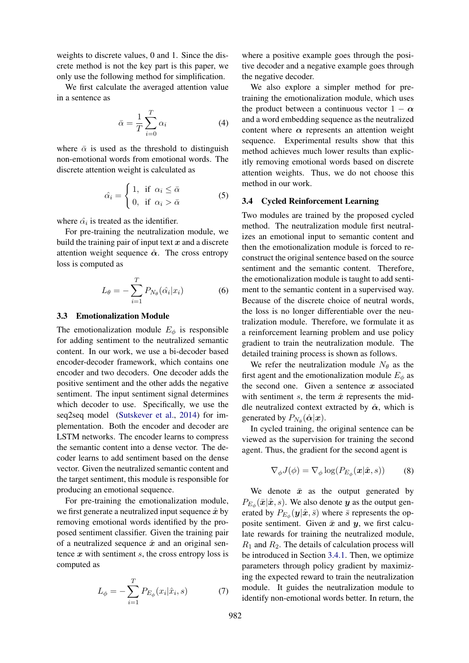weights to discrete values, 0 and 1. Since the discrete method is not the key part is this paper, we only use the following method for simplification.

We first calculate the averaged attention value in a sentence as

$$
\bar{\alpha} = \frac{1}{T} \sum_{i=0}^{T} \alpha_i
$$
 (4)

where  $\bar{\alpha}$  is used as the threshold to distinguish non-emotional words from emotional words. The discrete attention weight is calculated as

$$
\hat{\alpha_i} = \begin{cases} 1, & \text{if } \alpha_i \le \bar{\alpha} \\ 0, & \text{if } \alpha_i > \bar{\alpha} \end{cases}
$$
 (5)

where  $\hat{\alpha}_i$  is treated as the identifier.

For pre-training the neutralization module, we build the training pair of input text  $x$  and a discrete attention weight sequence  $\hat{\alpha}$ . The cross entropy loss is computed as

<span id="page-3-2"></span>
$$
L_{\theta} = -\sum_{i=1}^{T} P_{N_{\theta}}(\hat{\alpha_i}|x_i)
$$
 (6)

#### <span id="page-3-0"></span>3.3 Emotionalization Module

The emotionalization module  $E_{\phi}$  is responsible for adding sentiment to the neutralized semantic content. In our work, we use a bi-decoder based encoder-decoder framework, which contains one encoder and two decoders. One decoder adds the positive sentiment and the other adds the negative sentiment. The input sentiment signal determines which decoder to use. Specifically, we use the seq2seq model [\(Sutskever et al.,](#page-9-3) [2014\)](#page-9-3) for implementation. Both the encoder and decoder are LSTM networks. The encoder learns to compress the semantic content into a dense vector. The decoder learns to add sentiment based on the dense vector. Given the neutralized semantic content and the target sentiment, this module is responsible for producing an emotional sequence.

For pre-training the emotionalization module, we first generate a neutralized input sequence  $\hat{x}$  by removing emotional words identified by the proposed sentiment classifier. Given the training pair of a neutralized sequence  $\hat{x}$  and an original sentence  $x$  with sentiment  $s$ , the cross entropy loss is computed as

<span id="page-3-3"></span>
$$
L_{\phi} = -\sum_{i=1}^{T} P_{E_{\phi}}(x_i | \hat{x}_i, s)
$$
 (7)

where a positive example goes through the positive decoder and a negative example goes through the negative decoder.

We also explore a simpler method for pretraining the emotionalization module, which uses the product between a continuous vector  $1 - \alpha$ and a word embedding sequence as the neutralized content where  $\alpha$  represents an attention weight sequence. Experimental results show that this method achieves much lower results than explicitly removing emotional words based on discrete attention weights. Thus, we do not choose this method in our work.

## <span id="page-3-1"></span>3.4 Cycled Reinforcement Learning

Two modules are trained by the proposed cycled method. The neutralization module first neutralizes an emotional input to semantic content and then the emotionalization module is forced to reconstruct the original sentence based on the source sentiment and the semantic content. Therefore, the emotionalization module is taught to add sentiment to the semantic content in a supervised way. Because of the discrete choice of neutral words, the loss is no longer differentiable over the neutralization module. Therefore, we formulate it as a reinforcement learning problem and use policy gradient to train the neutralization module. The detailed training process is shown as follows.

We refer the neutralization module  $N_{\theta}$  as the first agent and the emotionalization module  $E_{\phi}$  as the second one. Given a sentence  $x$  associated with sentiment s, the term  $\hat{x}$  represents the middle neutralized context extracted by  $\hat{\alpha}$ , which is generated by  $P_{N_{\theta}}(\hat{\boldsymbol{\alpha}}|\boldsymbol{x})$ .

In cycled training, the original sentence can be viewed as the supervision for training the second agent. Thus, the gradient for the second agent is

<span id="page-3-4"></span>
$$
\nabla_{\phi} J(\phi) = \nabla_{\phi} \log(P_{E_{\phi}}(\boldsymbol{x}|\hat{\boldsymbol{x}}, s)) \tag{8}
$$

We denote  $\bar{x}$  as the output generated by  $P_{E_{\phi}}(\bar{x}|\hat{x},s)$ . We also denote  $y$  as the output generated by  $P_{E_{\phi}}(\mathbf{y}|\hat{\mathbf{x}}, \bar{s})$  where  $\bar{s}$  represents the opposite sentiment. Given  $\bar{x}$  and  $y$ , we first calculate rewards for training the neutralized module,  $R_1$  and  $R_2$ . The details of calculation process will be introduced in Section [3.4.1.](#page-4-3) Then, we optimize parameters through policy gradient by maximizing the expected reward to train the neutralization module. It guides the neutralization module to identify non-emotional words better. In return, the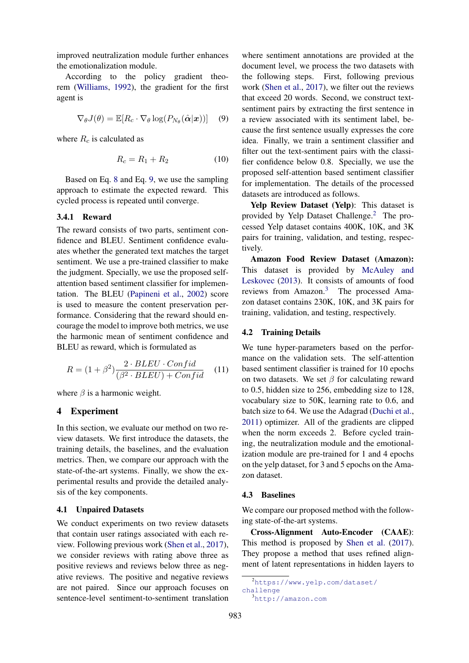improved neutralization module further enhances the emotionalization module.

According to the policy gradient theorem [\(Williams,](#page-9-4) [1992\)](#page-9-4), the gradient for the first agent is

<span id="page-4-2"></span>
$$
\nabla_{\theta} J(\theta) = \mathbb{E}[R_c \cdot \nabla_{\theta} \log(P_{N_{\theta}}(\hat{\boldsymbol{\alpha}}|\boldsymbol{x}))] \quad (9)
$$

where  $R_c$  is calculated as

<span id="page-4-1"></span>
$$
R_c = R_1 + R_2 \tag{10}
$$

Based on Eq. [8](#page-3-4) and Eq. [9,](#page-4-2) we use the sampling approach to estimate the expected reward. This cycled process is repeated until converge.

#### <span id="page-4-3"></span>3.4.1 Reward

The reward consists of two parts, sentiment confidence and BLEU. Sentiment confidence evaluates whether the generated text matches the target sentiment. We use a pre-trained classifier to make the judgment. Specially, we use the proposed selfattention based sentiment classifier for implementation. The BLEU [\(Papineni et al.,](#page-8-13) [2002\)](#page-8-13) score is used to measure the content preservation performance. Considering that the reward should encourage the model to improve both metrics, we use the harmonic mean of sentiment confidence and BLEU as reward, which is formulated as

$$
R = (1 + \beta^2) \frac{2 \cdot BLEU \cdot Confid}{(\beta^2 \cdot BLEU) + Confid} \quad (11)
$$

where  $\beta$  is a harmonic weight.

## 4 Experiment

In this section, we evaluate our method on two review datasets. We first introduce the datasets, the training details, the baselines, and the evaluation metrics. Then, we compare our approach with the state-of-the-art systems. Finally, we show the experimental results and provide the detailed analysis of the key components.

#### 4.1 Unpaired Datasets

We conduct experiments on two review datasets that contain user ratings associated with each review. Following previous work [\(Shen et al.,](#page-8-1) [2017\)](#page-8-1), we consider reviews with rating above three as positive reviews and reviews below three as negative reviews. The positive and negative reviews are not paired. Since our approach focuses on sentence-level sentiment-to-sentiment translation

where sentiment annotations are provided at the document level, we process the two datasets with the following steps. First, following previous work [\(Shen et al.,](#page-8-1) [2017\)](#page-8-1), we filter out the reviews that exceed 20 words. Second, we construct textsentiment pairs by extracting the first sentence in a review associated with its sentiment label, because the first sentence usually expresses the core idea. Finally, we train a sentiment classifier and filter out the text-sentiment pairs with the classifier confidence below 0.8. Specially, we use the proposed self-attention based sentiment classifier for implementation. The details of the processed datasets are introduced as follows.

Yelp Review Dataset (Yelp): This dataset is provided by Yelp Dataset Challenge.[2](#page-4-4) The processed Yelp dataset contains 400K, 10K, and 3K pairs for training, validation, and testing, respectively.

Amazon Food Review Dataset (Amazon): This dataset is provided by [McAuley and](#page-8-14) [Leskovec](#page-8-14) [\(2013\)](#page-8-14). It consists of amounts of food reviews from Amazon.[3](#page-4-5) The processed Amazon dataset contains 230K, 10K, and 3K pairs for training, validation, and testing, respectively.

#### 4.2 Training Details

<span id="page-4-0"></span>We tune hyper-parameters based on the performance on the validation sets. The self-attention based sentiment classifier is trained for 10 epochs on two datasets. We set  $\beta$  for calculating reward to 0.5, hidden size to 256, embedding size to 128, vocabulary size to 50K, learning rate to 0.6, and batch size to 64. We use the Adagrad [\(Duchi et al.,](#page-8-15) [2011\)](#page-8-15) optimizer. All of the gradients are clipped when the norm exceeds 2. Before cycled training, the neutralization module and the emotionalization module are pre-trained for 1 and 4 epochs on the yelp dataset, for 3 and 5 epochs on the Amazon dataset.

### 4.3 Baselines

We compare our proposed method with the following state-of-the-art systems.

Cross-Alignment Auto-Encoder (CAAE): This method is proposed by [Shen et al.](#page-8-1) [\(2017\)](#page-8-1). They propose a method that uses refined alignment of latent representations in hidden layers to

<span id="page-4-4"></span><sup>2</sup>[https://www.yelp.com/dataset/](https://www.yelp.com/dataset/challenge) [challenge](https://www.yelp.com/dataset/challenge)

<span id="page-4-5"></span><sup>3</sup><http://amazon.com>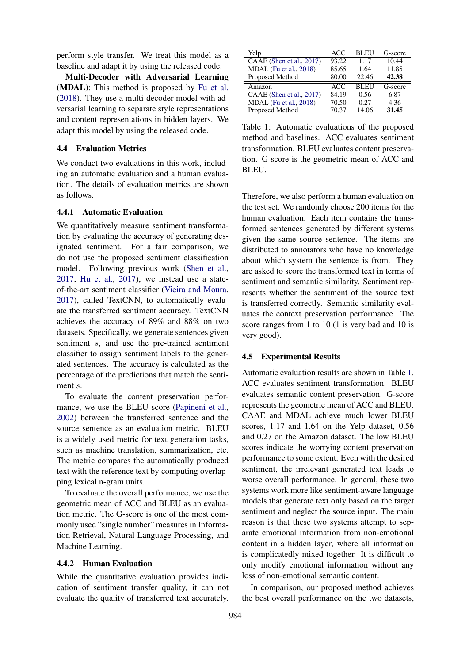perform style transfer. We treat this model as a baseline and adapt it by using the released code.

Multi-Decoder with Adversarial Learning (MDAL): This method is proposed by [Fu et al.](#page-8-2) [\(2018\)](#page-8-2). They use a multi-decoder model with adversarial learning to separate style representations and content representations in hidden layers. We adapt this model by using the released code.

#### 4.4 Evaluation Metrics

We conduct two evaluations in this work, including an automatic evaluation and a human evaluation. The details of evaluation metrics are shown as follows.

#### 4.4.1 Automatic Evaluation

We quantitatively measure sentiment transformation by evaluating the accuracy of generating designated sentiment. For a fair comparison, we do not use the proposed sentiment classification model. Following previous work [\(Shen et al.,](#page-8-1) [2017;](#page-8-1) [Hu et al.,](#page-8-0) [2017\)](#page-8-0), we instead use a stateof-the-art sentiment classifier [\(Vieira and Moura,](#page-9-5) [2017\)](#page-9-5), called TextCNN, to automatically evaluate the transferred sentiment accuracy. TextCNN achieves the accuracy of 89% and 88% on two datasets. Specifically, we generate sentences given sentiment s, and use the pre-trained sentiment classifier to assign sentiment labels to the generated sentences. The accuracy is calculated as the percentage of the predictions that match the sentiment s.

To evaluate the content preservation performance, we use the BLEU score [\(Papineni et al.,](#page-8-13) [2002\)](#page-8-13) between the transferred sentence and the source sentence as an evaluation metric. BLEU is a widely used metric for text generation tasks, such as machine translation, summarization, etc. The metric compares the automatically produced text with the reference text by computing overlapping lexical n-gram units.

To evaluate the overall performance, we use the geometric mean of ACC and BLEU as an evaluation metric. The G-score is one of the most commonly used "single number" measures in Information Retrieval, Natural Language Processing, and Machine Learning.

#### 4.4.2 Human Evaluation

While the quantitative evaluation provides indication of sentiment transfer quality, it can not evaluate the quality of transferred text accurately.

<span id="page-5-0"></span>

| Yelp                     | ACC   | <b>BLEU</b> | G-score |
|--------------------------|-------|-------------|---------|
| CAAE (Shen et al., 2017) | 93.22 | 1.17        | 10.44   |
| MDAL (Fu et al., 2018)   | 85.65 | 1.64        | 11.85   |
| Proposed Method          | 80.00 | 22.46       | 42.38   |
| Amazon                   | ACC.  | <b>BLEU</b> | G-score |
| CAAE (Shen et al., 2017) | 84.19 | 0.56        | 6.87    |
| MDAL (Fu et al., 2018)   | 70.50 | 0.27        | 4.36    |
| Proposed Method          | 70.37 | 14.06       | 31.45   |

Table 1: Automatic evaluations of the proposed method and baselines. ACC evaluates sentiment transformation. BLEU evaluates content preservation. G-score is the geometric mean of ACC and BLEU.

Therefore, we also perform a human evaluation on the test set. We randomly choose 200 items for the human evaluation. Each item contains the transformed sentences generated by different systems given the same source sentence. The items are distributed to annotators who have no knowledge about which system the sentence is from. They are asked to score the transformed text in terms of sentiment and semantic similarity. Sentiment represents whether the sentiment of the source text is transferred correctly. Semantic similarity evaluates the context preservation performance. The score ranges from 1 to 10 (1 is very bad and 10 is very good).

### 4.5 Experimental Results

Automatic evaluation results are shown in Table [1.](#page-5-0) ACC evaluates sentiment transformation. BLEU evaluates semantic content preservation. G-score represents the geometric mean of ACC and BLEU. CAAE and MDAL achieve much lower BLEU scores, 1.17 and 1.64 on the Yelp dataset, 0.56 and 0.27 on the Amazon dataset. The low BLEU scores indicate the worrying content preservation performance to some extent. Even with the desired sentiment, the irrelevant generated text leads to worse overall performance. In general, these two systems work more like sentiment-aware language models that generate text only based on the target sentiment and neglect the source input. The main reason is that these two systems attempt to separate emotional information from non-emotional content in a hidden layer, where all information is complicatedly mixed together. It is difficult to only modify emotional information without any loss of non-emotional semantic content.

In comparison, our proposed method achieves the best overall performance on the two datasets,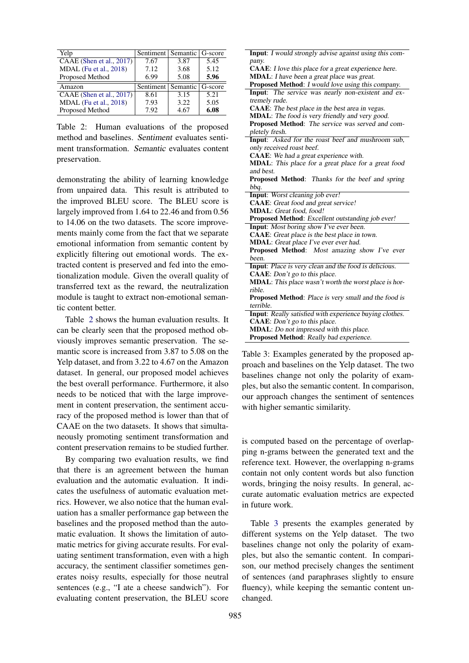| Yelp                     | Sentiment   Semantic   G-score |      |      |
|--------------------------|--------------------------------|------|------|
| CAAE (Shen et al., 2017) | 7.67                           | 3.87 | 5.45 |
| MDAL (Fu et al., 2018)   | 7.12                           | 3.68 | 5.12 |
| Proposed Method          | 6.99                           | 5.08 | 5.96 |
|                          |                                |      |      |
| Amazon                   | Sentiment   Semantic   G-score |      |      |
| CAAE (Shen et al., 2017) | 8.61                           | 3.15 | 5.21 |
| MDAL (Fu et al., 2018)   | 7.93                           | 3.22 | 5.05 |
| Proposed Method          | 7.92                           | 4.67 | 6.08 |

Table 2: Human evaluations of the proposed method and baselines. Sentiment evaluates sentiment transformation. Semantic evaluates content preservation.

demonstrating the ability of learning knowledge from unpaired data. This result is attributed to the improved BLEU score. The BLEU score is largely improved from 1.64 to 22.46 and from 0.56 to 14.06 on the two datasets. The score improvements mainly come from the fact that we separate emotional information from semantic content by explicitly filtering out emotional words. The extracted content is preserved and fed into the emotionalization module. Given the overall quality of transferred text as the reward, the neutralization module is taught to extract non-emotional semantic content better.

Table [2](#page-6-0) shows the human evaluation results. It can be clearly seen that the proposed method obviously improves semantic preservation. The semantic score is increased from 3.87 to 5.08 on the Yelp dataset, and from 3.22 to 4.67 on the Amazon dataset. In general, our proposed model achieves the best overall performance. Furthermore, it also needs to be noticed that with the large improvement in content preservation, the sentiment accuracy of the proposed method is lower than that of CAAE on the two datasets. It shows that simultaneously promoting sentiment transformation and content preservation remains to be studied further.

By comparing two evaluation results, we find that there is an agreement between the human evaluation and the automatic evaluation. It indicates the usefulness of automatic evaluation metrics. However, we also notice that the human evaluation has a smaller performance gap between the baselines and the proposed method than the automatic evaluation. It shows the limitation of automatic metrics for giving accurate results. For evaluating sentiment transformation, even with a high accuracy, the sentiment classifier sometimes generates noisy results, especially for those neutral sentences (e.g., "I ate a cheese sandwich"). For evaluating content preservation, the BLEU score

<span id="page-6-1"></span><span id="page-6-0"></span>

| <b>Input:</b> I would strongly advise against using this com- |  |  |  |  |
|---------------------------------------------------------------|--|--|--|--|
| pany.                                                         |  |  |  |  |
| <b>CAAE</b> : I love this place for a great experience here.  |  |  |  |  |
| MDAL: I have been a great place was great.                    |  |  |  |  |
| <b>Proposed Method:</b> I would love using this company.      |  |  |  |  |
| Input: The service was nearly non-existent and ex-            |  |  |  |  |
| tremely rude.                                                 |  |  |  |  |
| CAAE: The best place in the best area in vegas.               |  |  |  |  |
| MDAL: The food is very friendly and very good.                |  |  |  |  |
| Proposed Method: The service was served and com-              |  |  |  |  |
| pletely fresh.                                                |  |  |  |  |
| Input: Asked for the roast beef and mushroom sub,             |  |  |  |  |
| only received roast beef.                                     |  |  |  |  |
| <b>CAAE</b> : We had a great experience with.                 |  |  |  |  |
| MDAL: This place for a great place for a great food           |  |  |  |  |
| and best.                                                     |  |  |  |  |
| Proposed Method: Thanks for the beef and spring               |  |  |  |  |
| bbq.                                                          |  |  |  |  |
| Input: Worst cleaning job ever!                               |  |  |  |  |
| <b>CAAE</b> : Great food and great service!                   |  |  |  |  |
| MDAL: Great food, food!                                       |  |  |  |  |
| Proposed Method: Excellent outstanding job ever!              |  |  |  |  |
| <b>Input:</b> Most boring show I've ever been.                |  |  |  |  |
| CAAE: Great place is the best place in town.                  |  |  |  |  |
| MDAL: Great place I've ever ever had.                         |  |  |  |  |
| Proposed Method: Most amazing show I've ever                  |  |  |  |  |
| been.                                                         |  |  |  |  |
| <b>Input:</b> Place is very clean and the food is delicious.  |  |  |  |  |
| CAAE: Don't go to this place.                                 |  |  |  |  |
| MDAL: This place wasn't worth the worst place is hor-         |  |  |  |  |
| rible.                                                        |  |  |  |  |
| Proposed Method: Place is very small and the food is          |  |  |  |  |
| terrible.                                                     |  |  |  |  |
| Input: Really satisfied with experience buying clothes.       |  |  |  |  |
| <b>CAAE</b> : Don't go to this place.                         |  |  |  |  |
| MDAL: Do not impressed with this place.                       |  |  |  |  |
| Proposed Method: Really bad experience.                       |  |  |  |  |
|                                                               |  |  |  |  |

Table 3: Examples generated by the proposed approach and baselines on the Yelp dataset. The two baselines change not only the polarity of examples, but also the semantic content. In comparison, our approach changes the sentiment of sentences with higher semantic similarity.

is computed based on the percentage of overlapping n-grams between the generated text and the reference text. However, the overlapping n-grams contain not only content words but also function words, bringing the noisy results. In general, accurate automatic evaluation metrics are expected in future work.

Table [3](#page-6-1) presents the examples generated by different systems on the Yelp dataset. The two baselines change not only the polarity of examples, but also the semantic content. In comparison, our method precisely changes the sentiment of sentences (and paraphrases slightly to ensure fluency), while keeping the semantic content unchanged.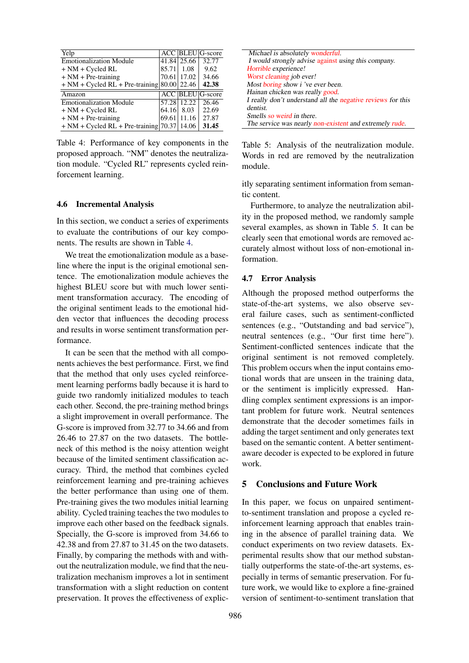| Yelp                                           |       |             | <b>ACC BLEU</b> G-score |
|------------------------------------------------|-------|-------------|-------------------------|
| <b>Emotionalization Module</b>                 |       | 41.84 25.66 | 32.77                   |
| $+ NM + Cycled RL$                             | 85.71 | 1.08        | 9.62                    |
| $+ NM + Pre-training$                          |       | 70.61 17.02 | 34.66                   |
| $+ NM + C$ ycled RL + Pre-training 80.00 22.46 |       |             | 42.38                   |
| Amazon                                         |       |             | <b>ACC</b> BLEU G-score |
| <b>Emotionalization Module</b>                 |       | 57.28 12.22 | 26.46                   |
| $+ NM + Cycled RL$                             | 64.16 | 8.03        | 22.69                   |
| $+ NM + Pre-training$                          | 69.61 | 11.16       | 27.87                   |
| $+ NM + C$ ycled RL + Pre-training [70.37]     |       | 14.06       | 31.45                   |

Table 4: Performance of key components in the proposed approach. "NM" denotes the neutralization module. "Cycled RL" represents cycled reinforcement learning.

#### 4.6 Incremental Analysis

In this section, we conduct a series of experiments to evaluate the contributions of our key components. The results are shown in Table [4.](#page-7-0)

We treat the emotionalization module as a baseline where the input is the original emotional sentence. The emotionalization module achieves the highest BLEU score but with much lower sentiment transformation accuracy. The encoding of the original sentiment leads to the emotional hidden vector that influences the decoding process and results in worse sentiment transformation performance.

It can be seen that the method with all components achieves the best performance. First, we find that the method that only uses cycled reinforcement learning performs badly because it is hard to guide two randomly initialized modules to teach each other. Second, the pre-training method brings a slight improvement in overall performance. The G-score is improved from 32.77 to 34.66 and from 26.46 to 27.87 on the two datasets. The bottleneck of this method is the noisy attention weight because of the limited sentiment classification accuracy. Third, the method that combines cycled reinforcement learning and pre-training achieves the better performance than using one of them. Pre-training gives the two modules initial learning ability. Cycled training teaches the two modules to improve each other based on the feedback signals. Specially, the G-score is improved from 34.66 to 42.38 and from 27.87 to 31.45 on the two datasets. Finally, by comparing the methods with and without the neutralization module, we find that the neutralization mechanism improves a lot in sentiment transformation with a slight reduction on content preservation. It proves the effectiveness of explic-

<span id="page-7-0"></span>

<span id="page-7-1"></span>Table 5: Analysis of the neutralization module. Words in red are removed by the neutralization module.

itly separating sentiment information from semantic content.

Furthermore, to analyze the neutralization ability in the proposed method, we randomly sample several examples, as shown in Table [5.](#page-7-1) It can be clearly seen that emotional words are removed accurately almost without loss of non-emotional information.

#### 4.7 Error Analysis

Although the proposed method outperforms the state-of-the-art systems, we also observe several failure cases, such as sentiment-conflicted sentences (e.g., "Outstanding and bad service"), neutral sentences (e.g., "Our first time here"). Sentiment-conflicted sentences indicate that the original sentiment is not removed completely. This problem occurs when the input contains emotional words that are unseen in the training data, or the sentiment is implicitly expressed. Handling complex sentiment expressions is an important problem for future work. Neutral sentences demonstrate that the decoder sometimes fails in adding the target sentiment and only generates text based on the semantic content. A better sentimentaware decoder is expected to be explored in future work.

#### 5 Conclusions and Future Work

In this paper, we focus on unpaired sentimentto-sentiment translation and propose a cycled reinforcement learning approach that enables training in the absence of parallel training data. We conduct experiments on two review datasets. Experimental results show that our method substantially outperforms the state-of-the-art systems, especially in terms of semantic preservation. For future work, we would like to explore a fine-grained version of sentiment-to-sentiment translation that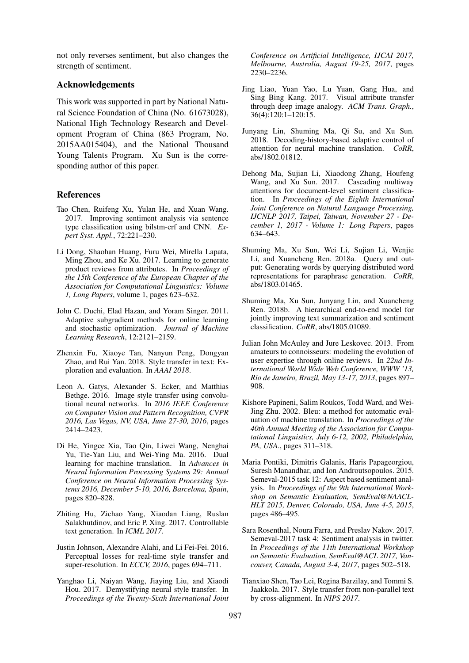not only reverses sentiment, but also changes the strength of sentiment.

## Acknowledgements

This work was supported in part by National Natural Science Foundation of China (No. 61673028), National High Technology Research and Development Program of China (863 Program, No. 2015AA015404), and the National Thousand Young Talents Program. Xu Sun is the corresponding author of this paper.

## References

- <span id="page-8-10"></span>Tao Chen, Ruifeng Xu, Yulan He, and Xuan Wang. 2017. Improving sentiment analysis via sentence type classification using bilstm-crf and CNN. *Expert Syst. Appl.*, 72:221–230.
- Li Dong, Shaohan Huang, Furu Wei, Mirella Lapata, Ming Zhou, and Ke Xu. 2017. Learning to generate product reviews from attributes. In *Proceedings of the 15th Conference of the European Chapter of the Association for Computational Linguistics: Volume 1, Long Papers*, volume 1, pages 623–632.
- <span id="page-8-15"></span>John C. Duchi, Elad Hazan, and Yoram Singer. 2011. Adaptive subgradient methods for online learning and stochastic optimization. *Journal of Machine Learning Research*, 12:2121–2159.
- <span id="page-8-2"></span>Zhenxin Fu, Xiaoye Tan, Nanyun Peng, Dongyan Zhao, and Rui Yan. 2018. Style transfer in text: Exploration and evaluation. In *AAAI 2018*.
- <span id="page-8-4"></span>Leon A. Gatys, Alexander S. Ecker, and Matthias Bethge. 2016. Image style transfer using convolutional neural networks. In *2016 IEEE Conference on Computer Vision and Pattern Recognition, CVPR 2016, Las Vegas, NV, USA, June 27-30, 2016*, pages 2414–2423.
- <span id="page-8-7"></span>Di He, Yingce Xia, Tao Qin, Liwei Wang, Nenghai Yu, Tie-Yan Liu, and Wei-Ying Ma. 2016. Dual learning for machine translation. In *Advances in Neural Information Processing Systems 29: Annual Conference on Neural Information Processing Systems 2016, December 5-10, 2016, Barcelona, Spain*, pages 820–828.
- <span id="page-8-0"></span>Zhiting Hu, Zichao Yang, Xiaodan Liang, Ruslan Salakhutdinov, and Eric P. Xing. 2017. Controllable text generation. In *ICML 2017*.
- <span id="page-8-3"></span>Justin Johnson, Alexandre Alahi, and Li Fei-Fei. 2016. Perceptual losses for real-time style transfer and super-resolution. In *ECCV, 2016*, pages 694–711.
- <span id="page-8-6"></span>Yanghao Li, Naiyan Wang, Jiaying Liu, and Xiaodi Hou. 2017. Demystifying neural style transfer. In *Proceedings of the Twenty-Sixth International Joint*

*Conference on Artificial Intelligence, IJCAI 2017, Melbourne, Australia, August 19-25, 2017*, pages 2230–2236.

- <span id="page-8-5"></span>Jing Liao, Yuan Yao, Lu Yuan, Gang Hua, and Sing Bing Kang. 2017. Visual attribute transfer through deep image analogy. *ACM Trans. Graph.*, 36(4):120:1–120:15.
- Junyang Lin, Shuming Ma, Qi Su, and Xu Sun. 2018. Decoding-history-based adaptive control of attention for neural machine translation. *CoRR*, abs/1802.01812.
- <span id="page-8-11"></span>Dehong Ma, Sujian Li, Xiaodong Zhang, Houfeng Wang, and Xu Sun. 2017. Cascading multiway attentions for document-level sentiment classification. In *Proceedings of the Eighth International Joint Conference on Natural Language Processing, IJCNLP 2017, Taipei, Taiwan, November 27 - December 1, 2017 - Volume 1: Long Papers*, pages 634–643.
- Shuming Ma, Xu Sun, Wei Li, Sujian Li, Wenjie Li, and Xuancheng Ren. 2018a. Query and output: Generating words by querying distributed word representations for paraphrase generation. *CoRR*, abs/1803.01465.
- <span id="page-8-12"></span>Shuming Ma, Xu Sun, Junyang Lin, and Xuancheng Ren. 2018b. A hierarchical end-to-end model for jointly improving text summarization and sentiment classification. *CoRR*, abs/1805.01089.
- <span id="page-8-14"></span>Julian John McAuley and Jure Leskovec. 2013. From amateurs to connoisseurs: modeling the evolution of user expertise through online reviews. In *22nd International World Wide Web Conference, WWW '13, Rio de Janeiro, Brazil, May 13-17, 2013*, pages 897– 908.
- <span id="page-8-13"></span>Kishore Papineni, Salim Roukos, Todd Ward, and Wei-Jing Zhu. 2002. Bleu: a method for automatic evaluation of machine translation. In *Proceedings of the 40th Annual Meeting of the Association for Computational Linguistics, July 6-12, 2002, Philadelphia, PA, USA.*, pages 311–318.
- <span id="page-8-8"></span>Maria Pontiki, Dimitris Galanis, Haris Papageorgiou, Suresh Manandhar, and Ion Androutsopoulos. 2015. Semeval-2015 task 12: Aspect based sentiment analysis. In *Proceedings of the 9th International Workshop on Semantic Evaluation, SemEval@NAACL-HLT 2015, Denver, Colorado, USA, June 4-5, 2015*, pages 486–495.
- <span id="page-8-9"></span>Sara Rosenthal, Noura Farra, and Preslav Nakov. 2017. Semeval-2017 task 4: Sentiment analysis in twitter. In *Proceedings of the 11th International Workshop on Semantic Evaluation, SemEval@ACL 2017, Vancouver, Canada, August 3-4, 2017*, pages 502–518.
- <span id="page-8-1"></span>Tianxiao Shen, Tao Lei, Regina Barzilay, and Tommi S. Jaakkola. 2017. Style transfer from non-parallel text by cross-alignment. In *NIPS 2017*.